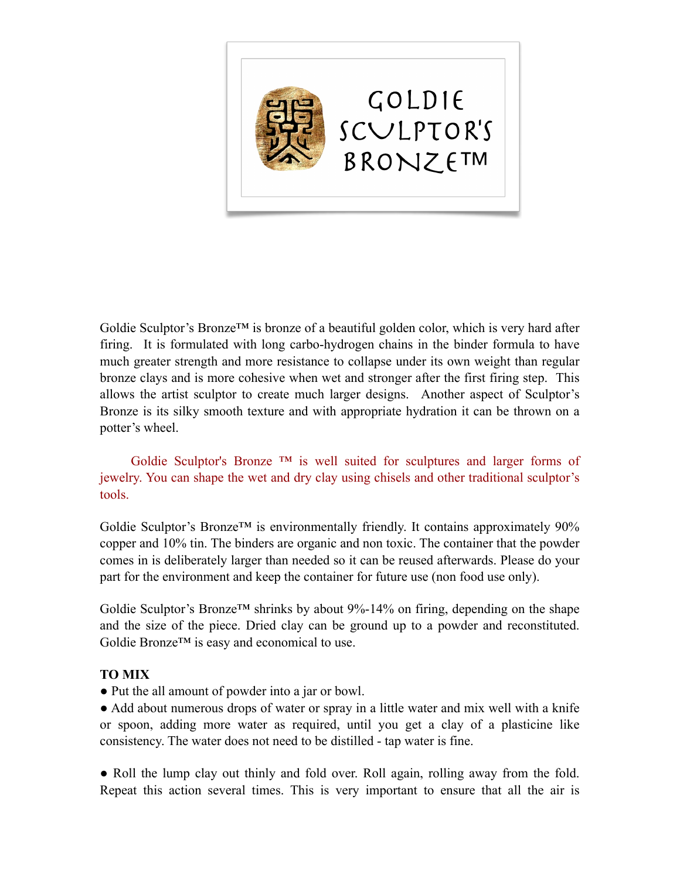

Goldie Sculptor's Bronze<sup>TM</sup> is bronze of a beautiful golden color, which is very hard after firing. It is formulated with long carbo-hydrogen chains in the binder formula to have much greater strength and more resistance to collapse under its own weight than regular bronze clays and is more cohesive when wet and stronger after the first firing step. This allows the artist sculptor to create much larger designs. Another aspect of Sculptor's Bronze is its silky smooth texture and with appropriate hydration it can be thrown on a potter's wheel.

Goldie Sculptor's Bronze  $TM$  is well suited for sculptures and larger forms of jewelry. You can shape the wet and dry clay using chisels and other traditional sculptor's tools.

Goldie Sculptor's Bronze<sup>TM</sup> is environmentally friendly. It contains approximately  $90\%$ copper and 10% tin. The binders are organic and non toxic. The container that the powder comes in is deliberately larger than needed so it can be reused afterwards. Please do your part for the environment and keep the container for future use (non food use only).

Goldie Sculptor's Bronze<sup>TM</sup> shrinks by about  $9\%$ -14% on firing, depending on the shape and the size of the piece. Dried clay can be ground up to a powder and reconstituted. Goldie Bronze™ is easy and economical to use.

## **TO MIX**

● Put the all amount of powder into a jar or bowl.

• Add about numerous drops of water or spray in a little water and mix well with a knife or spoon, adding more water as required, until you get a clay of a plasticine like consistency. The water does not need to be distilled - tap water is fine.

• Roll the lump clay out thinly and fold over. Roll again, rolling away from the fold. Repeat this action several times. This is very important to ensure that all the air is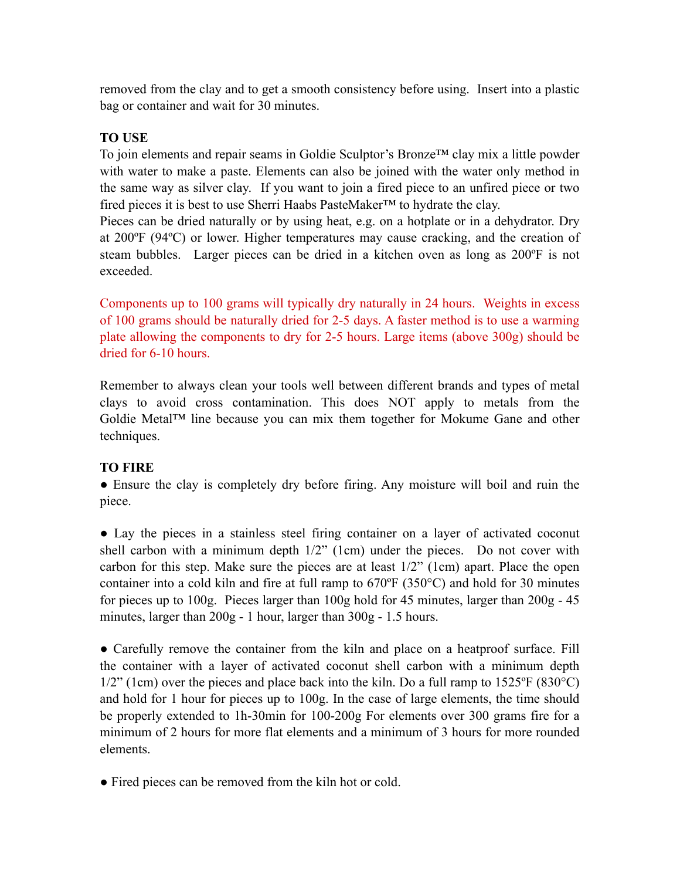removed from the clay and to get a smooth consistency before using. Insert into a plastic bag or container and wait for 30 minutes.

## **TO USE**

To join elements and repair seams in Goldie Sculptor's Bronze™ clay mix a little powder with water to make a paste. Elements can also be joined with the water only method in the same way as silver clay. If you want to join a fired piece to an unfired piece or two fired pieces it is best to use Sherri Haabs PasteMaker™ to hydrate the clay.

Pieces can be dried naturally or by using heat, e.g. on a hotplate or in a dehydrator. Dry at 200ºF (94ºC) or lower. Higher temperatures may cause cracking, and the creation of steam bubbles. Larger pieces can be dried in a kitchen oven as long as 200ºF is not exceeded.

Components up to 100 grams will typically dry naturally in 24 hours. Weights in excess of 100 grams should be naturally dried for 2-5 days. A faster method is to use a warming plate allowing the components to dry for 2-5 hours. Large items (above 300g) should be dried for 6-10 hours.

Remember to always clean your tools well between different brands and types of metal clays to avoid cross contamination. This does NOT apply to metals from the Goldie Metal™ line because you can mix them together for Mokume Gane and other techniques.

## **TO FIRE**

• Ensure the clay is completely dry before firing. Any moisture will boil and ruin the piece.

● Lay the pieces in a stainless steel firing container on a layer of activated coconut shell carbon with a minimum depth 1/2" (1cm) under the pieces. Do not cover with carbon for this step. Make sure the pieces are at least 1/2" (1cm) apart. Place the open container into a cold kiln and fire at full ramp to 670ºF (350°C) and hold for 30 minutes for pieces up to 100g. Pieces larger than 100g hold for 45 minutes, larger than 200g - 45 minutes, larger than 200g - 1 hour, larger than 300g - 1.5 hours.

• Carefully remove the container from the kiln and place on a heatproof surface. Fill the container with a layer of activated coconut shell carbon with a minimum depth  $1/2$ " (1cm) over the pieces and place back into the kiln. Do a full ramp to  $1525$ °F (830°C) and hold for 1 hour for pieces up to 100g. In the case of large elements, the time should be properly extended to 1h-30min for 100-200g For elements over 300 grams fire for a minimum of 2 hours for more flat elements and a minimum of 3 hours for more rounded elements.

● Fired pieces can be removed from the kiln hot or cold.